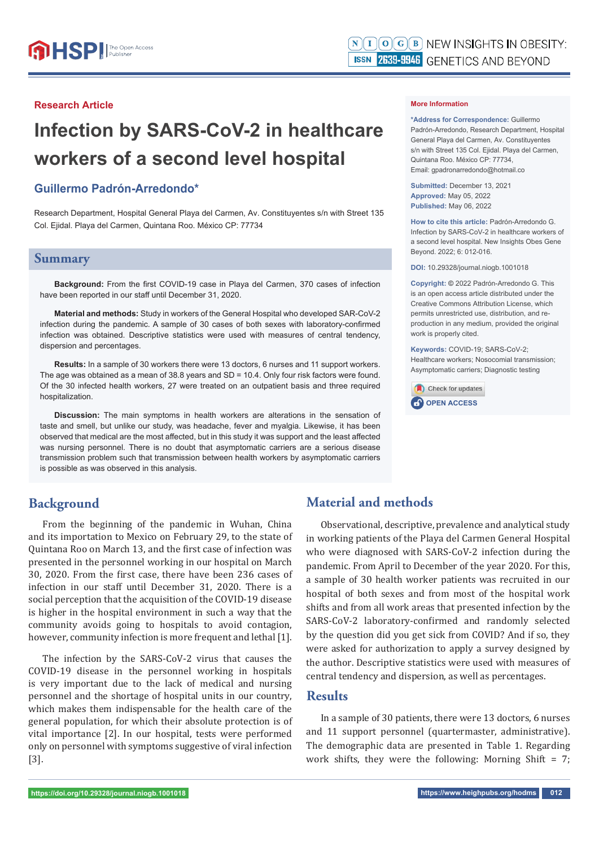## **Research Article**

# **Infection by SARS-CoV-2 in healthcare workers of a second level hospital**

## **Guillermo Padrón-Arredondo\***

Research Department, Hospital General Playa del Carmen, Av. Constituyentes s/n with Street 135 Col. Ejidal. Playa del Carmen, Quintana Roo. México CP: 77734

## **Summary**

**Background:** From the first COVID-19 case in Playa del Carmen, 370 cases of infection have been reported in our staff until December 31, 2020.

**Material and methods:** Study in workers of the General Hospital who developed SAR-CoV-2 infection during the pandemic. A sample of 30 cases of both sexes with laboratory-confirmed infection was obtained. Descriptive statistics were used with measures of central tendency, dispersion and percentages.

**Results:** In a sample of 30 workers there were 13 doctors, 6 nurses and 11 support workers. The age was obtained as a mean of 38.8 years and SD = 10.4. Only four risk factors were found. Of the 30 infected health workers, 27 were treated on an outpatient basis and three required hospitalization.

**Discussion:** The main symptoms in health workers are alterations in the sensation of taste and smell, but unlike our study, was headache, fever and myalgia. Likewise, it has been observed that medical are the most affected, but in this study it was support and the least affected was nursing personnel. There is no doubt that asymptomatic carriers are a serious disease transmission problem such that transmission between health workers by asymptomatic carriers is possible as was observed in this analysis.

## **Background**

From the beginning of the pandemic in Wuhan, China and its importation to Mexico on February 29, to the state of Quintana Roo on March 13, and the first case of infection was presented in the personnel working in our hospital on March 30, 2020. From the first case, there have been 236 cases of infection in our staff until December 31, 2020. There is a social perception that the acquisition of the COVID-19 disease is higher in the hospital environment in such a way that the community avoids going to hospitals to avoid contagion, however, community infection is more frequent and lethal [1].

The infection by the SARS-CoV-2 virus that causes the COVID-19 disease in the personnel working in hospitals is very important due to the lack of medical and nursing personnel and the shortage of hospital units in our country, which makes them indispensable for the health care of the general population, for which their absolute protection is of vital importance [2]. In our hospital, tests were performed only on personnel with symptoms suggestive of viral infection [3].

#### **More Information**

**\*Address for Correspondence:** Guillermo Padrón-Arredondo, Research Department, Hospital General Playa del Carmen, Av. Constituyentes s/n with Street 135 Col. Ejidal. Playa del Carmen, Quintana Roo. México CP: 77734, Email: gpadronarredondo@hotmail.co

**Submitted:** December 13, 2021 **Approved:** May 05, 2022 **Published:** May 06, 2022

**How to cite this article:** Padrón-Arredondo G. Infection by SARS-CoV-2 in healthcare workers of a second level hospital. New Insights Obes Gene Beyond. 2022; 6: 012-016.

**DOI:** 10.29328/journal.niogb.1001018

**Copyright: ©** 2022 Padrón-Arredondo G. This is an open access article distributed under the Creative Commons Attribution License, which permits unrestricted use, distribution, and reproduction in any medium, provided the original work is properly cited.

**Keywords:** COVID-19; SARS-CoV-2; Healthcare workers; Nosocomial transmission; Asymptomatic carriers; Diagnostic testing



# **Material and methods**

Observational, descriptive, prevalence and analytical study in working patients of the Playa del Carmen General Hospital who were diagnosed with SARS-CoV-2 infection during the pandemic. From April to December of the year 2020. For this, a sample of 30 health worker patients was recruited in our hospital of both sexes and from most of the hospital work shifts and from all work areas that presented infection by the SARS-CoV-2 laboratory-confirmed and randomly selected by the question did you get sick from COVID? And if so, they were asked for authorization to apply a survey designed by the author. Descriptive statistics were used with measures of central tendency and dispersion, as well as percentages.

## **Results**

In a sample of 30 patients, there were 13 doctors, 6 nurses and 11 support personnel (quartermaster, administrative). The demographic data are presented in Table 1. Regarding work shifts, they were the following: Morning Shift  $= 7$ ;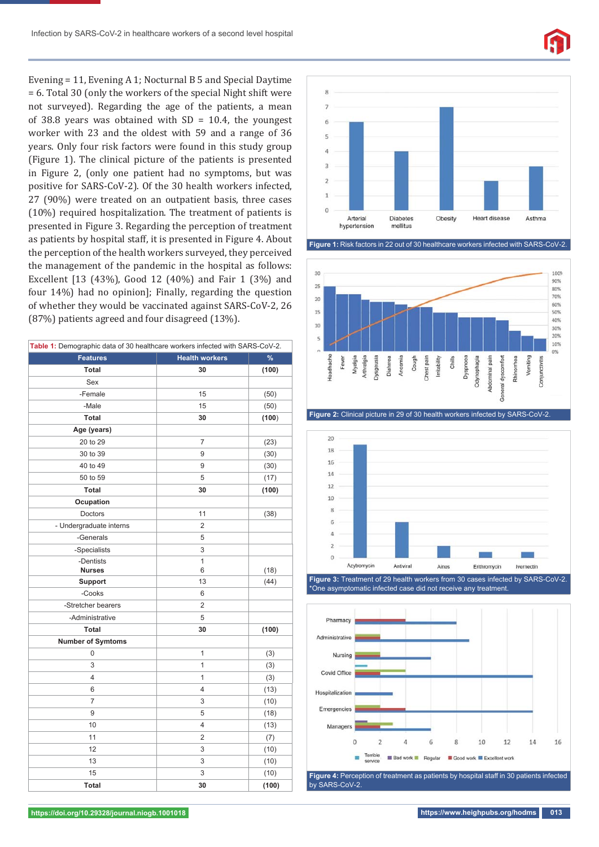

Evening = 11, Evening A 1; Nocturnal B 5 and Special Daytime = 6. Total 30 (only the workers of the special Night shift were not surveyed). Regarding the age of the patients, a mean of 38.8 years was obtained with  $SD = 10.4$ , the youngest worker with 23 and the oldest with 59 and a range of 36 years. Only four risk factors were found in this study group (Figure 1). The clinical picture of the patients is presented in Figure 2, (only one patient had no symptoms, but was positive for SARS-CoV-2). Of the 30 health workers infected, 27 (90%) were treated on an outpatient basis, three cases (10%) required hospitalization. The treatment of patients is presented in Figure 3. Regarding the perception of treatment as patients by hospital staff, it is presented in Figure 4. About the perception of the health workers surveyed, they perceived the management of the pandemic in the hospital as follows: Excellent [13 (43%), Good 12 (40%) and Fair 1 (3%) and four 14%) had no opinion]; Finally, regarding the question of whether they would be vaccinated against SARS-CoV-2, 26 (87%) patients agreed and four disagreed (13%).

| Table 1: Demographic data of 30 healthcare workers infected with SARS-CoV-2. |                       |       |
|------------------------------------------------------------------------------|-----------------------|-------|
| <b>Features</b>                                                              | <b>Health workers</b> | $\%$  |
| Total                                                                        | 30                    | (100) |
| Sex                                                                          |                       |       |
| -Female                                                                      | 15                    | (50)  |
| -Male                                                                        | 15                    | (50)  |
| Total                                                                        | 30                    | (100) |
| Age (years)                                                                  |                       |       |
| 20 to 29                                                                     | 7                     | (23)  |
| 30 to 39                                                                     | 9                     | (30)  |
| 40 to 49                                                                     | 9                     | (30)  |
| 50 to 59                                                                     | 5                     | (17)  |
| Total                                                                        | 30                    | (100) |
| Ocupation                                                                    |                       |       |
| Doctors                                                                      | 11                    | (38)  |
| - Undergraduate interns                                                      | 2                     |       |
| -Generals                                                                    | 5                     |       |
| -Specialists                                                                 | 3                     |       |
| -Dentists                                                                    | $\overline{1}$        |       |
| <b>Nurses</b>                                                                | 6                     | (18)  |
| <b>Support</b>                                                               | 13                    | (44)  |
| -Cooks                                                                       | 6                     |       |
| -Stretcher bearers                                                           | $\overline{2}$        |       |
| -Administrative                                                              | 5                     |       |
| Total                                                                        | 30                    | (100) |
| <b>Number of Symtoms</b>                                                     |                       |       |
| 0                                                                            | 1                     | (3)   |
| 3                                                                            | $\overline{1}$        | (3)   |
| 4                                                                            | $\overline{1}$        | (3)   |
| 6                                                                            | $\overline{4}$        | (13)  |
| $\overline{7}$                                                               | 3                     | (10)  |
| 9                                                                            | 5                     | (18)  |
| 10                                                                           | $\overline{4}$        | (13)  |
| 11                                                                           | $\overline{2}$        | (7)   |
| 12                                                                           | 3                     | (10)  |
| 13                                                                           | 3                     | (10)  |
| 15                                                                           | 3                     | (10)  |
| Total                                                                        | 30                    | (100) |











**Figure 3:** Treatment of 29 health workers from 30 cases infected by SARS-CoV-2. \*One asymptomatic infected case did not receive any treatment.



by SARS-CoV-2.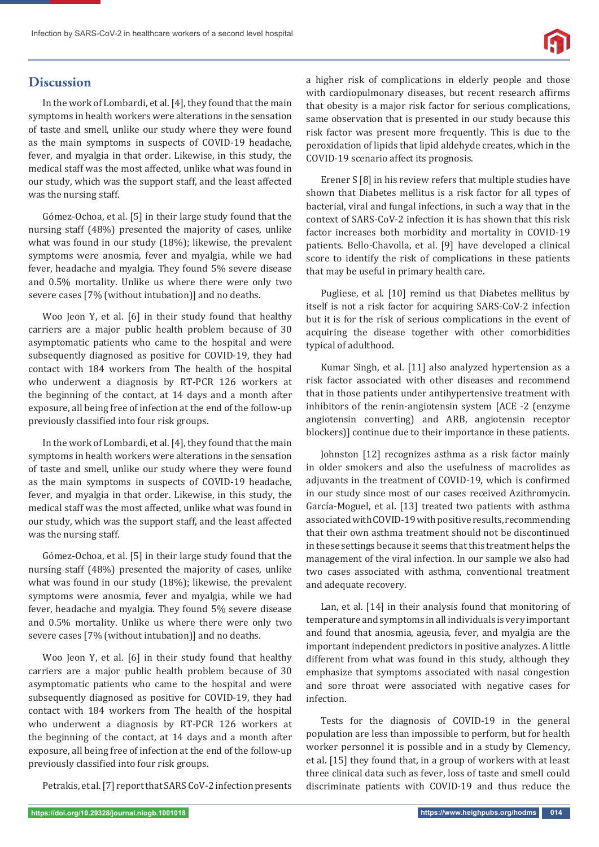# **Discussion**

In the work of Lombardi, et al. [4], they found that the main symptoms in health workers were alterations in the sensation of taste and smell, unlike our study where they were found as the main symptoms in suspects of COVID-19 headache, fever, and myalgia in that order. Likewise, in this study, the medical staff was the most affected, unlike what was found in our study, which was the support staff, and the least affected was the nursing staff.

Gómez-Ochoa, et al. [5] in their large study found that the nursing staff (48%) presented the majority of cases, unlike what was found in our study (18%); likewise, the prevalent symptoms were anosmia, fever and myalgia, while we had fever, headache and myalgia. They found 5% severe disease and 0.5% mortality. Unlike us where there were only two severe cases [7% (without intubation)] and no deaths.

Woo Jeon Y, et al. [6] in their study found that healthy carriers are a major public health problem because of 30 asymptomatic patients who came to the hospital and were subsequently diagnosed as positive for COVID-19, they had contact with 184 workers from The health of the hospital who underwent a diagnosis by RT-PCR 126 workers at the beginning of the contact, at 14 days and a month after exposure, all being free of infection at the end of the follow-up previously classified into four risk groups.

In the work of Lombardi, et al. [4], they found that the main symptoms in health workers were alterations in the sensation of taste and smell, unlike our study where they were found as the main symptoms in suspects of COVID-19 headache, fever, and myalgia in that order. Likewise, in this study, the medical staff was the most affected, unlike what was found in our study, which was the support staff, and the least affected was the nursing staff.

Gómez-Ochoa, et al. [5] in their large study found that the nursing staff (48%) presented the majority of cases, unlike what was found in our study (18%); likewise, the prevalent symptoms were anosmia, fever and myalgia, while we had fever, headache and myalgia. They found 5% severe disease and 0.5% mortality. Unlike us where there were only two severe cases [7% (without intubation)] and no deaths.

Woo Jeon Y, et al. [6] in their study found that healthy carriers are a major public health problem because of 30 asymptomatic patients who came to the hospital and were subsequently diagnosed as positive for COVID-19, they had contact with 184 workers from The health of the hospital who underwent a diagnosis by RT-PCR 126 workers at the beginning of the contact, at 14 days and a month after exposure, all being free of infection at the end of the follow-up previously classified into four risk groups.

Petrakis, et al. [7] report that SARS CoV-2 infection presents

a higher risk of complications in elderly people and those with cardiopulmonary diseases, but recent research affirms that obesity is a major risk factor for serious complications, same observation that is presented in our study because this risk factor was present more frequently. This is due to the peroxidation of lipids that lipid aldehyde creates, which in the COVID-19 scenario affect its prognosis.

Erener S [8] in his review refers that multiple studies have shown that Diabetes mellitus is a risk factor for all types of bacterial, viral and fungal infections, in such a way that in the context of SARS-CoV-2 infection it is has shown that this risk factor increases both morbidity and mortality in COVID-19 patients. Bello-Chavolla, et al. [9] have developed a clinical score to identify the risk of complications in these patients that may be useful in primary health care.

Pugliese, et al. [10] remind us that Diabetes mellitus by itself is not a risk factor for acquiring SARS-CoV-2 infection but it is for the risk of serious complications in the event of acquiring the disease together with other comorbidities typical of adulthood.

Kumar Singh, et al. [11] also analyzed hypertension as a risk factor associated with other diseases and recommend that in those patients under antihypertensive treatment with inhibitors of the renin-angiotensin system [ACE -2 (enzyme angiotensin converting) and ARB, angiotensin receptor blockers)] continue due to their importance in these patients.

Johnston [12] recognizes asthma as a risk factor mainly in older smokers and also the usefulness of macrolides as adjuvants in the treatment of COVID-19, which is confirmed in our study since most of our cases received Azithromycin. García-Moguel, et al. [13] treated two patients with asthma associated with COVID-19 with positive results, recommending that their own asthma treatment should not be discontinued in these settings because it seems that this treatment helps the management of the viral infection. In our sample we also had two cases associated with asthma, conventional treatment and adequate recovery.

Lan, et al. [14] in their analysis found that monitoring of temperature and symptoms in all individuals is very important and found that anosmia, ageusia, fever, and myalgia are the important independent predictors in positive analyzes. A little different from what was found in this study, although they emphasize that symptoms associated with nasal congestion and sore throat were associated with negative cases for infection.

Tests for the diagnosis of COVID-19 in the general population are less than impossible to perform, but for health worker personnel it is possible and in a study by Clemency, et al. [15] they found that, in a group of workers with at least three clinical data such as fever, loss of taste and smell could discriminate patients with COVID-19 and thus reduce the

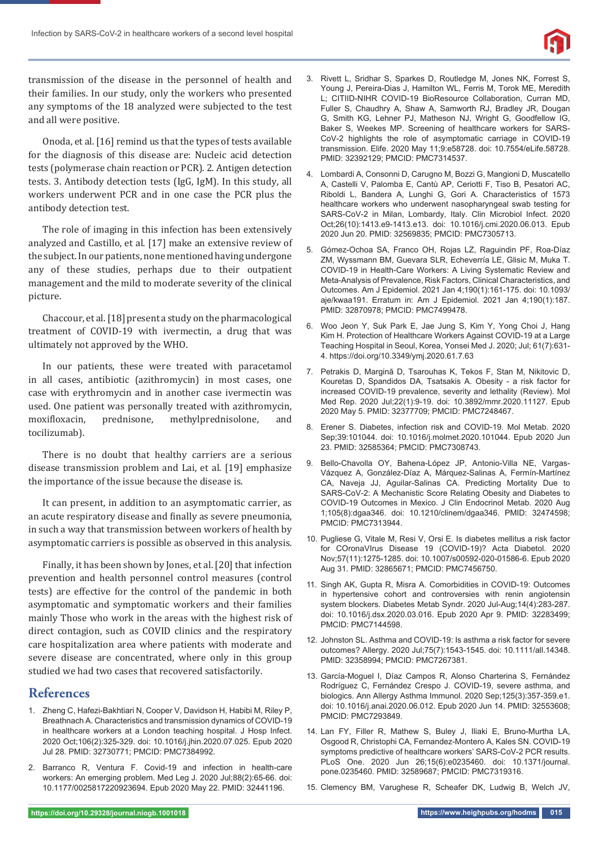

transmission of the disease in the personnel of health and their families. In our study, only the workers who presented any symptoms of the 18 analyzed were subjected to the test and all were positive.

Onoda, et al. [16] remind us that the types of tests available for the diagnosis of this disease are: Nucleic acid detection tests (polymerase chain reaction or PCR). 2. Antigen detection tests. 3. Antibody detection tests (IgG, IgM). In this study, all workers underwent PCR and in one case the PCR plus the antibody detection test.

The role of imaging in this infection has been extensively analyzed and Castillo, et al. [17] make an extensive review of the subject. In our patients, none mentioned having undergone any of these studies, perhaps due to their outpatient management and the mild to moderate severity of the clinical picture.

Chaccour, et al. [18] present a study on the pharmacological treatment of COVID-19 with ivermectin, a drug that was ultimately not approved by the WHO.

In our patients, these were treated with paracetamol in all cases, antibiotic (azithromycin) in most cases, one case with erythromycin and in another case ivermectin was used. One patient was personally treated with azithromycin, moxifloxacin, prednisone, methylprednisolone, and tocilizumab).

There is no doubt that healthy carriers are a serious disease transmission problem and Lai, et al. [19] emphasize the importance of the issue because the disease is.

It can present, in addition to an asymptomatic carrier, as an acute respiratory disease and finally as severe pneumonia, in such a way that transmission between workers of health by asymptomatic carriers is possible as observed in this analysis.

Finally, it has been shown by Jones, et al. [20] that infection prevention and health personnel control measures (control tests) are effective for the control of the pandemic in both asymptomatic and symptomatic workers and their families mainly Those who work in the areas with the highest risk of direct contagion, such as COVID clinics and the respiratory care hospitalization area where patients with moderate and severe disease are concentrated, where only in this group studied we had two cases that recovered satisfactorily.

## **References**

- 1. Zheng C, Hafezi-Bakhtiari N, Cooper V, Davidson H, Habibi M, Riley P, Breathnach A. Characteristics and transmission dynamics of COVID-19 in healthcare workers at a London teaching hospital. J Hosp Infect. 2020 Oct;106(2):325-329. doi: 10.1016/j.jhin.2020.07.025. Epub 2020 Jul 28. PMID: 32730771; PMCID: PMC7384992.
- 2. Barranco R, Ventura F. Covid-19 and infection in health-care workers: An emerging problem. Med Leg J. 2020 Jul;88(2):65-66. doi: 10.1177/0025817220923694. Epub 2020 May 22. PMID: 32441196.
- 3. Rivett L, Sridhar S, Sparkes D, Routledge M, Jones NK, Forrest S, Young J, Pereira-Dias J, Hamilton WL, Ferris M, Torok ME, Meredith L; CITIID-NIHR COVID-19 BioResource Collaboration, Curran MD, Fuller S, Chaudhry A, Shaw A, Samworth RJ, Bradley JR, Dougan G, Smith KG, Lehner PJ, Matheson NJ, Wright G, Goodfellow IG, Baker S, Weekes MP. Screening of healthcare workers for SARS-CoV-2 highlights the role of asymptomatic carriage in COVID-19 transmission. Elife. 2020 May 11;9:e58728. doi: 10.7554/eLife.58728. PMID: 32392129; PMCID: PMC7314537.
- 4. Lombardi A, Consonni D, Carugno M, Bozzi G, Mangioni D, Muscatello A, Castelli V, Palomba E, Cantù AP, Ceriotti F, Tiso B, Pesatori AC, Riboldi L, Bandera A, Lunghi G, Gori A. Characteristics of 1573 healthcare workers who underwent nasopharyngeal swab testing for SARS-CoV-2 in Milan, Lombardy, Italy. Clin Microbiol Infect. 2020 Oct;26(10):1413.e9-1413.e13. doi: 10.1016/j.cmi.2020.06.013. Epub 2020 Jun 20. PMID: 32569835; PMCID: PMC7305713.
- 5. Gómez-Ochoa SA, Franco OH, Rojas LZ, Raguindin PF, Roa-Díaz ZM, Wyssmann BM, Guevara SLR, Echeverría LE, Glisic M, Muka T. COVID-19 in Health-Care Workers: A Living Systematic Review and Meta-Analysis of Prevalence, Risk Factors, Clinical Characteristics, and Outcomes. Am J Epidemiol. 2021 Jan 4;190(1):161-175. doi: 10.1093/ aje/kwaa191. Erratum in: Am J Epidemiol. 2021 Jan 4;190(1):187. PMID: 32870978; PMCID: PMC7499478.
- 6. Woo Jeon Y, Suk Park E, Jae Jung S, Kim Y, Yong Choi J, Hang Kim H. Protection of Healthcare Workers Against COVID-19 at a Large Teaching Hospital in Seoul, Korea, Yonsei Med J. 2020; Jul; 61(7):631- 4. https://doi.org/10.3349/ymj.2020.61.7.63
- 7. Petrakis D, Margină D, Tsarouhas K, Tekos F, Stan M, Nikitovic D, Kouretas D, Spandidos DA, Tsatsakis A. Obesity - a risk factor for increased COVID-19 prevalence, severity and lethality (Review). Mol Med Rep. 2020 Jul;22(1):9-19. doi: 10.3892/mmr.2020.11127. Epub 2020 May 5. PMID: 32377709; PMCID: PMC7248467.
- 8. Erener S. Diabetes, infection risk and COVID-19. Mol Metab. 2020 Sep;39:101044. doi: 10.1016/j.molmet.2020.101044. Epub 2020 Jun 23. PMID: 32585364; PMCID: PMC7308743.
- 9. Bello-Chavolla OY, Bahena-López JP, Antonio-Villa NE, Vargas-Vázquez A, González-Díaz A, Márquez-Salinas A, Fermín-Martínez CA, Naveja JJ, Aguilar-Salinas CA. Predicting Mortality Due to SARS-CoV-2: A Mechanistic Score Relating Obesity and Diabetes to COVID-19 Outcomes in Mexico. J Clin Endocrinol Metab. 2020 Aug 1;105(8):dgaa346. doi: 10.1210/clinem/dgaa346. PMID: 32474598; PMCID: PMC7313944.
- 10. Pugliese G, Vitale M, Resi V, Orsi E. Is diabetes mellitus a risk factor for COronaVIrus Disease 19 (COVID-19)? Acta Diabetol. 2020 Nov;57(11):1275-1285. doi: 10.1007/s00592-020-01586-6. Epub 2020 Aug 31. PMID: 32865671; PMCID: PMC7456750.
- 11. Singh AK, Gupta R, Misra A. Comorbidities in COVID-19: Outcomes in hypertensive cohort and controversies with renin angiotensin system blockers. Diabetes Metab Syndr. 2020 Jul-Aug;14(4):283-287. doi: 10.1016/j.dsx.2020.03.016. Epub 2020 Apr 9. PMID: 32283499; PMCID: PMC7144598.
- 12. Johnston SL. Asthma and COVID-19: Is asthma a risk factor for severe outcomes? Allergy. 2020 Jul;75(7):1543-1545. doi: 10.1111/all.14348. PMID: 32358994; PMCID: PMC7267381.
- 13. García-Moguel I, Díaz Campos R, Alonso Charterina S, Fernández Rodríguez C, Fernández Crespo J. COVID-19, severe asthma, and biologics. Ann Allergy Asthma Immunol. 2020 Sep;125(3):357-359.e1. doi: 10.1016/j.anai.2020.06.012. Epub 2020 Jun 14. PMID: 32553608; PMCID: PMC7293849.
- 14. Lan FY, Filler R, Mathew S, Buley J, Iliaki E, Bruno-Murtha LA, Osgood R, Christophi CA, Fernandez-Montero A, Kales SN. COVID-19 symptoms predictive of healthcare workers' SARS-CoV-2 PCR results. PLoS One. 2020 Jun 26;15(6):e0235460. doi: 10.1371/journal. pone.0235460. PMID: 32589687; PMCID: PMC7319316.
- 15. Clemency BM, Varughese R, Scheafer DK, Ludwig B, Welch JV,